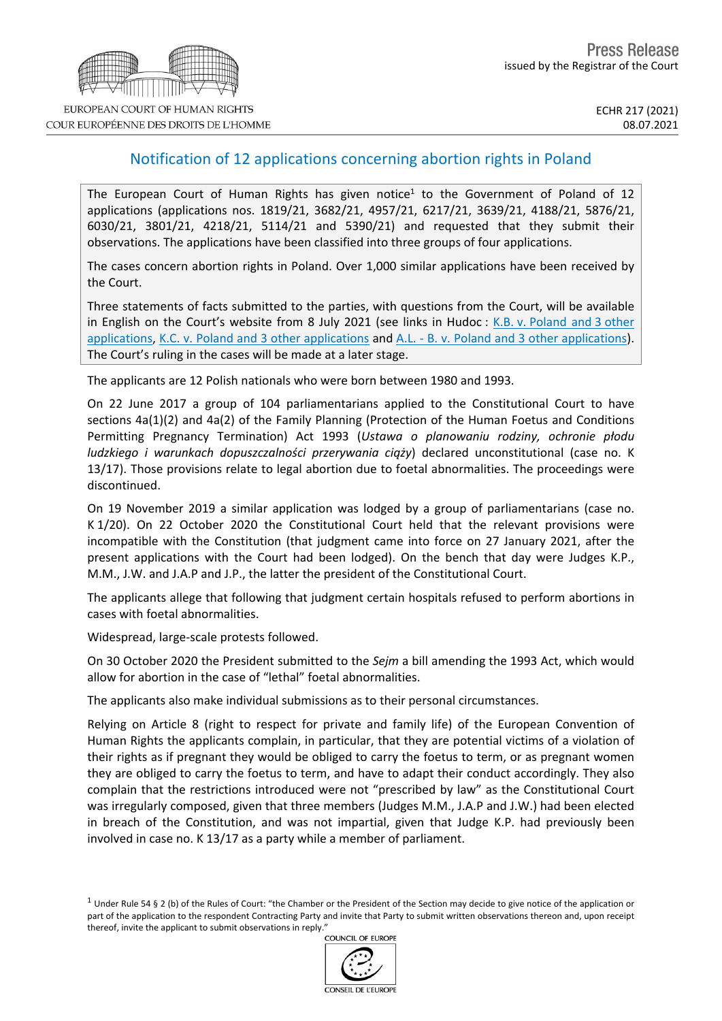## Notification of 12 applications concerning abortion rights in Poland

The European Court of Human Rights has given notice<sup>1</sup> to the Government of Poland of 12 applications (applications nos. 1819/21, 3682/21, 4957/21, 6217/21, 3639/21, 4188/21, 5876/21, 6030/21, 3801/21, 4218/21, 5114/21 and 5390/21) and requested that they submit their observations. The applications have been classified into three groups of four applications.

The cases concern abortion rights in Poland. Over 1,000 similar applications have been received by the Court.

Three statements of facts submitted to the parties, with questions from the Court, will be available in English on the Court's website from 8 July 2021 (see links in Hudoc : K.B. v. [Poland](http://hudoc.echr.coe.int/eng?i=001-211176) and 3 other [applications,](http://hudoc.echr.coe.int/eng?i=001-211176) K.C. v. Poland and 3 other [applications](http://hudoc.echr.coe.int/eng?i=001-211179) and A.L. - B. v. Poland and 3 other [applications](http://hudoc.echr.coe.int/eng?i=001-211177)). The Court's ruling in the cases will be made at a later stage.

The applicants are 12 Polish nationals who were born between 1980 and 1993.

On 22 June 2017 a group of 104 parliamentarians applied to the Constitutional Court to have sections 4a(1)(2) and 4a(2) of the Family Planning (Protection of the Human Foetus and Conditions Permitting Pregnancy Termination) Act 1993 (*Ustawa o planowaniu rodziny, ochronie płodu ludzkiego i warunkach dopuszczalności przerywania ciąży*) declared unconstitutional (case no. K 13/17). Those provisions relate to legal abortion due to foetal abnormalities. The proceedings were discontinued.

On 19 November 2019 a similar application was lodged by a group of parliamentarians (case no. K 1/20). On 22 October 2020 the Constitutional Court held that the relevant provisions were incompatible with the Constitution (that judgment came into force on 27 January 2021, after the present applications with the Court had been lodged). On the bench that day were Judges K.P., M.M., J.W. and J.A.P and J.P., the latter the president of the Constitutional Court.

The applicants allege that following that judgment certain hospitals refused to perform abortions in cases with foetal abnormalities.

Widespread, large-scale protests followed.

On 30 October 2020 the President submitted to the *Sejm* a bill amending the 1993 Act, which would allow for abortion in the case of "lethal" foetal abnormalities.

The applicants also make individual submissions as to their personal circumstances.

Relying on Article 8 (right to respect for private and family life) of the European Convention of Human Rights the applicants complain, in particular, that they are potential victims of a violation of their rights as if pregnant they would be obliged to carry the foetus to term, or as pregnant women they are obliged to carry the foetus to term, and have to adapt their conduct accordingly. They also complain that the restrictions introduced were not "prescribed by law" as the Constitutional Court was irregularly composed, given that three members (Judges M.M., J.A.P and J.W.) had been elected in breach of the Constitution, and was not impartial, given that Judge K.P. had previously been involved in case no. K 13/17 as a party while a member of parliament.

<sup>&</sup>lt;sup>1</sup> Under Rule 54 § 2 (b) of the Rules of Court: "the Chamber or the President of the Section may decide to give notice of the application or part of the application to the respondent Contracting Party and invite that Party to submit written observations thereon and, upon receipt thereof, invite the applicant to submit observations in reply."<br>COUNCIL OF FUROPE